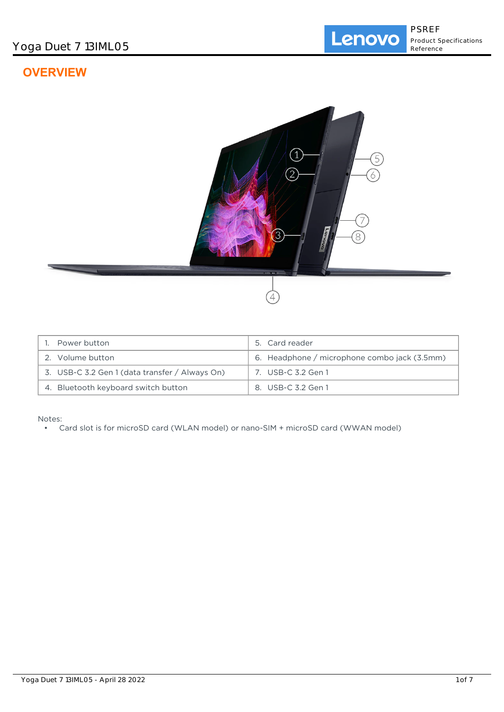# **OVERVIEW**



| Power button                                   | 5. Card reader                               |
|------------------------------------------------|----------------------------------------------|
| 2. Volume button                               | 6. Headphone / microphone combo jack (3.5mm) |
| 3. USB-C 3.2 Gen 1 (data transfer / Always On) | 7. USB-C 3.2 Gen 1                           |
| 4. Bluetooth keyboard switch button            | 8. USB-C 3.2 Gen 1                           |

Notes:

• Card slot is for microSD card (WLAN model) or nano-SIM + microSD card (WWAN model)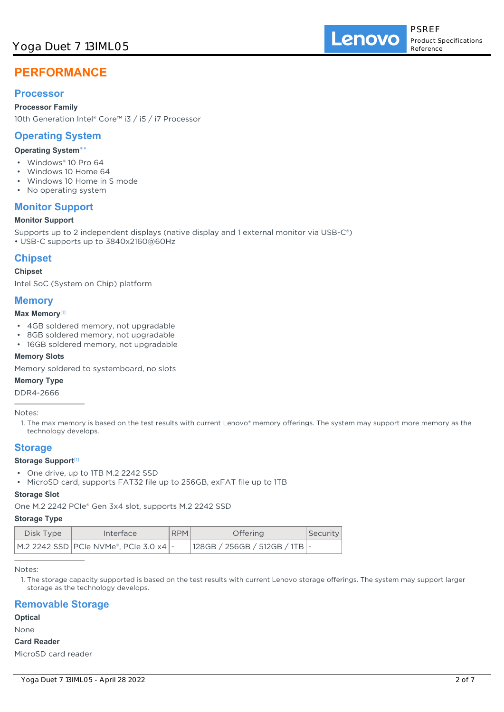# Yoga Duet 7 13IML05

# **PERFORMANCE**

# **Processor**

**Processor Family**

10th Generation Intel® Core™ i3 / i5 / i7 Processor

# **Operating System**

## **Operating System**\*\*

- Windows® 10 Pro 64
- Windows 10 Home 64
- Windows 10 Home in S mode
- No operating system

# **Monitor Support**

## **Monitor Support**

Supports up to 2 independent displays (native display and 1 external monitor via USB-C®)

• USB-C supports up to 3840x2160@60Hz

# **Chipset**

#### **Chipset**

Intel SoC (System on Chip) platform

## **Memory**

#### **Max Memory**[1]

- 4GB soldered memory, not upgradable
- 8GB soldered memory, not upgradable
- 16GB soldered memory, not upgradable

### **Memory Slots**

Memory soldered to systemboard, no slots

### **Memory Type**

DDR4-2666

Notes:

1. The max memory is based on the test results with current Lenovo® memory offerings. The system may support more memory as the technology develops.

## **Storage**

### **Storage Support**[1]

- One drive, up to 1TB M.2 2242 SSD
- MicroSD card, supports FAT32 file up to 256GB, exFAT file up to 1TB

#### **Storage Slot**

One M.2 2242 PCIe® Gen 3x4 slot, supports M.2 2242 SSD

#### **Storage Type**

| Disk Type | Interface                                  | <b>RPM</b> | <b>Offering</b>                   | Security |
|-----------|--------------------------------------------|------------|-----------------------------------|----------|
|           | M.2 2242 SSD   PCIe NVMe®, PCIe 3.0 x4   - |            | $ 128GB / 256GB / 512GB / 1TB $ - |          |

Notes:

1. The storage capacity supported is based on the test results with current Lenovo storage offerings. The system may support larger storage as the technology develops.

## **Removable Storage**

## **Optical**

None

#### **Card Reader**

MicroSD card reader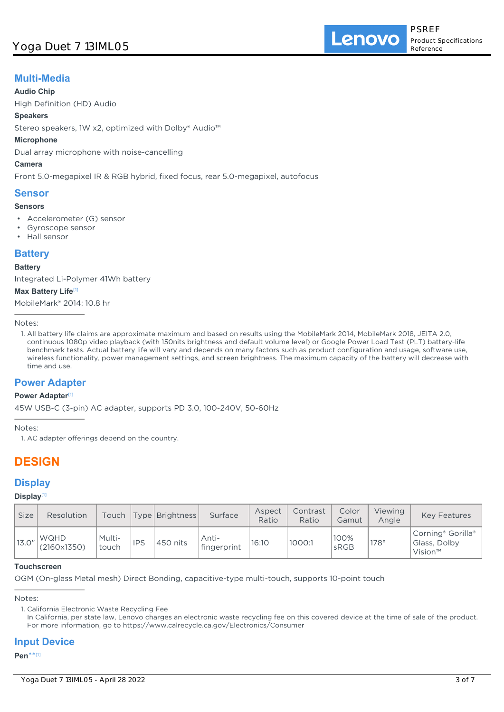## **Multi-Media**

#### **Audio Chip**

High Definition (HD) Audio

#### **Speakers**

Stereo speakers, 1W x2, optimized with Dolby® Audio™

#### **Microphone**

Dual array microphone with noise-cancelling

#### **Camera**

Front 5.0-megapixel IR & RGB hybrid, fixed focus, rear 5.0-megapixel, autofocus

### **Sensor**

#### **Sensors**

- Accelerometer (G) sensor
- Gyroscope sensor
- Hall sensor

## **Battery**

#### **Battery**

Integrated Li-Polymer 41Wh battery

#### **Max Battery Life**[1]

MobileMark® 2014: 10.8 hr

Notes:

1. All battery life claims are approximate maximum and based on results using the MobileMark 2014, MobileMark 2018, JEITA 2.0, continuous 1080p video playback (with 150nits brightness and default volume level) or Google Power Load Test (PLT) battery-life benchmark tests. Actual battery life will vary and depends on many factors such as product configuration and usage, software use, wireless functionality, power management settings, and screen brightness. The maximum capacity of the battery will decrease with time and use.

## **Power Adapter**

#### **Power Adapter**[1]

45W USB-C (3-pin) AC adapter, supports PD 3.0, 100-240V, 50-60Hz

Notes:

1. AC adapter offerings depend on the country.

# **DESIGN**

## **Display**

### **Display**[1]

| <b>Size</b> | Resolution                 | Touch           |            | Type   Brightness | Surface              | Aspect<br>Ratio | Contrast<br>Ratio | Color<br>Gamut | Viewing<br>Angle | <b>Key Features</b>                             |
|-------------|----------------------------|-----------------|------------|-------------------|----------------------|-----------------|-------------------|----------------|------------------|-------------------------------------------------|
| 13.0''      | <b>WQHD</b><br>(2160x1350) | Multi-<br>touch | <b>IPS</b> | ,450 nits         | Anti-<br>fingerprint | 16:10           | 1000:1            | 100%<br>sRGB   | $178^\circ$      | Corning® Gorilla®<br>Glass, Dolby<br>$Vision^m$ |

#### **Touchscreen**

OGM (On-glass Metal mesh) Direct Bonding, capacitive-type multi-touch, supports 10-point touch

Notes:

## **Input Device**

#### **Pen**\*\* [1]

<sup>1.</sup> California Electronic Waste Recycling Fee

In California, per state law, Lenovo charges an electronic waste recycling fee on this covered device at the time of sale of the product. For more information, go to https://www.calrecycle.ca.gov/Electronics/Consumer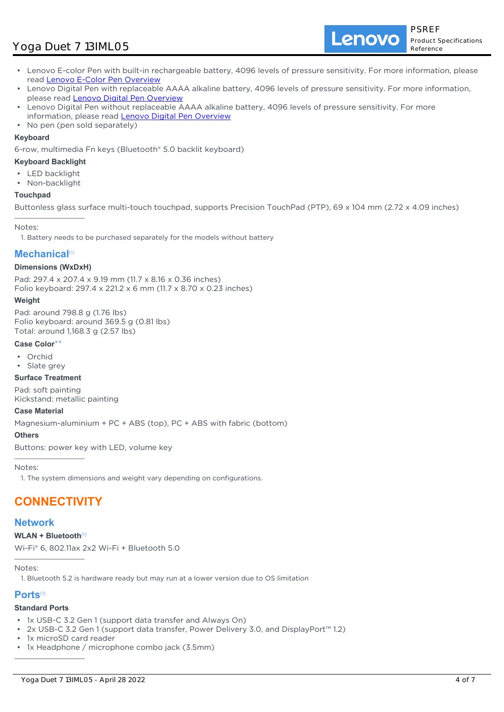# Yoga Duet 7 13IML05

Lenovo

- Lenovo E-color Pen with built-in rechargeable battery, 4096 levels of pressure sensitivity. For more information, please read [Lenovo E-Color Pen Overview](https://support.lenovo.com/us/en/accessories/acc500221)
- Lenovo Digital Pen with replaceable AAAA alkaline battery, 4096 levels of pressure sensitivity. For more information, please read [Lenovo Digital Pen Overview](https://support.lenovo.com/accessories/acc500199)
- Lenovo Digital Pen without replaceable AAAA alkaline battery, 4096 levels of pressure sensitivity. For more information, please read [Lenovo Digital Pen Overview](https://support.lenovo.com/accessories/acc500199)
- No pen (pen sold separately)

#### **Keyboard**

6-row, multimedia Fn keys (Bluetooth® 5.0 backlit keyboard)

#### **Keyboard Backlight**

- **LED** backlight
- Non-backlight

#### **Touchpad**

Buttonless glass surface multi-touch touchpad, supports Precision TouchPad (PTP), 69 x 104 mm (2.72 x 4.09 inches)

Notes:

1. Battery needs to be purchased separately for the models without battery

## **Mechanical**[1]

#### **Dimensions (WxDxH)**

Pad: 297.4 x 207.4 x 9.19 mm (11.7 x 8.16 x 0.36 inches) Folio keyboard: 297.4 x 221.2 x 6 mm (11.7 x 8.70 x 0.23 inches)

#### **Weight**

Pad: around 798.8 g (1.76 lbs) Folio keyboard: around 369.5 g (0.81 lbs) Total: around 1,168.3 g (2.57 lbs)

#### **Case Color**\*\*

- Orchid
- Slate grey

#### **Surface Treatment**

Pad: soft painting Kickstand: metallic painting

#### **Case Material**

Magnesium-aluminium + PC + ABS (top), PC + ABS with fabric (bottom)

### **Others**

Buttons: power key with LED, volume key

Notes:

1. The system dimensions and weight vary depending on configurations.

# **CONNECTIVITY**

## **Network**

#### **WLAN + Bluetooth**[1]

Wi-Fi® 6, 802.11ax 2x2 Wi-Fi + Bluetooth 5.0

Notes:

1. Bluetooth 5.2 is hardware ready but may run at a lower version due to OS limitation

### **Ports**[1]

#### **Standard Ports**

- 1x USB-C 3.2 Gen 1 (support data transfer and Always On)
- 2x USB-C 3.2 Gen 1 (support data transfer, Power Delivery 3.0, and DisplayPort™ 1.2)
- 1x microSD card reader
- 1x Headphone / microphone combo jack (3.5mm)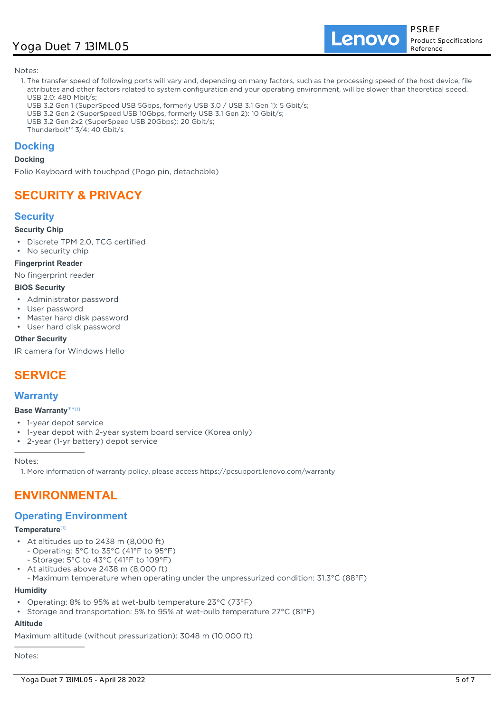# Yoga Duet 7 13IML05

Lenovo

Notes:

- 1. The transfer speed of following ports will vary and, depending on many factors, such as the processing speed of the host device, file attributes and other factors related to system configuration and your operating environment, will be slower than theoretical speed. USB 2.0: 480 Mbit/s;
- USB 3.2 Gen 1 (SuperSpeed USB 5Gbps, formerly USB 3.0 / USB 3.1 Gen 1): 5 Gbit/s;
- USB 3.2 Gen 2 (SuperSpeed USB 10Gbps, formerly USB 3.1 Gen 2): 10 Gbit/s;
- USB 3.2 Gen 2x2 (SuperSpeed USB 20Gbps): 20 Gbit/s;
- Thunderbolt™ 3/4: 40 Gbit/s

## **Docking**

#### **Docking**

Folio Keyboard with touchpad (Pogo pin, detachable)

# **SECURITY & PRIVACY**

## **Security**

#### **Security Chip**

- Discrete TPM 2.0, TCG certified
- No security chip

#### **Fingerprint Reader**

No fingerprint reader

#### **BIOS Security**

- Administrator password
- User password
- Master hard disk password
- User hard disk password

#### **Other Security**

IR camera for Windows Hello

# **SERVICE**

## **Warranty**

#### **Base Warranty**\*\* [1]

- 1-year depot service
- 1-year depot with 2-year system board service (Korea only)
- 2-year (1-yr battery) depot service

Notes:

1. More information of warranty policy, please access https://pcsupport.lenovo.com/warranty

# **ENVIRONMENTAL**

## **Operating Environment**

#### **Temperature**[1]

- At altitudes up to 2438 m (8,000 ft)
	- Operating: 5°C to 35°C (41°F to 95°F)
	- Storage: 5°C to 43°C (41°F to 109°F)
- At altitudes above 2438 m (8,000 ft) •

- Maximum temperature when operating under the unpressurized condition: 31.3°C (88°F)

## **Humidity**

- Operating: 8% to 95% at wet-bulb temperature 23°C (73°F)
- Storage and transportation: 5% to 95% at wet-bulb temperature 27°C (81°F)

## **Altitude**

Maximum altitude (without pressurization): 3048 m (10,000 ft)

Notes: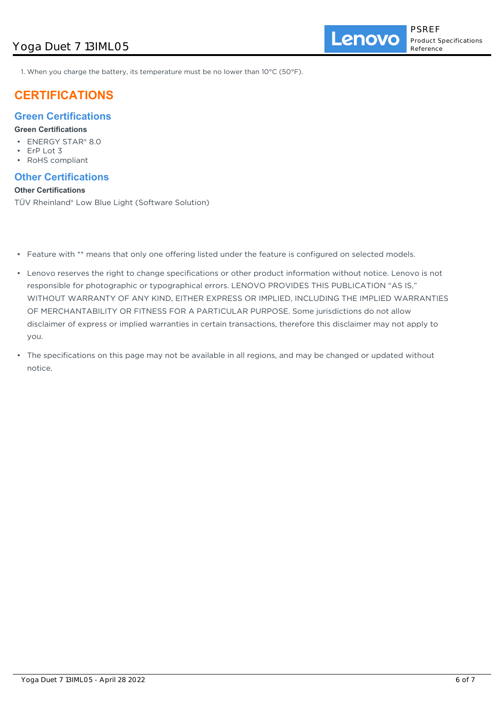Lenovo

1. When you charge the battery, its temperature must be no lower than 10°C (50°F).

# **CERTIFICATIONS**

## **Green Certifications**

#### **Green Certifications**

- ENERGY STAR® 8.0
- ErP Lot 3
- RoHS compliant

## **Other Certifications**

#### **Other Certifications**

TÜV Rheinland® Low Blue Light (Software Solution)

- Feature with \*\* means that only one offering listed under the feature is configured on selected models.
- Lenovo reserves the right to change specifications or other product information without notice. Lenovo is not responsible for photographic or typographical errors. LENOVO PROVIDES THIS PUBLICATION "AS IS," WITHOUT WARRANTY OF ANY KIND, EITHER EXPRESS OR IMPLIED, INCLUDING THE IMPLIED WARRANTIES OF MERCHANTABILITY OR FITNESS FOR A PARTICULAR PURPOSE. Some jurisdictions do not allow disclaimer of express or implied warranties in certain transactions, therefore this disclaimer may not apply to you.
- The specifications on this page may not be available in all regions, and may be changed or updated without notice.